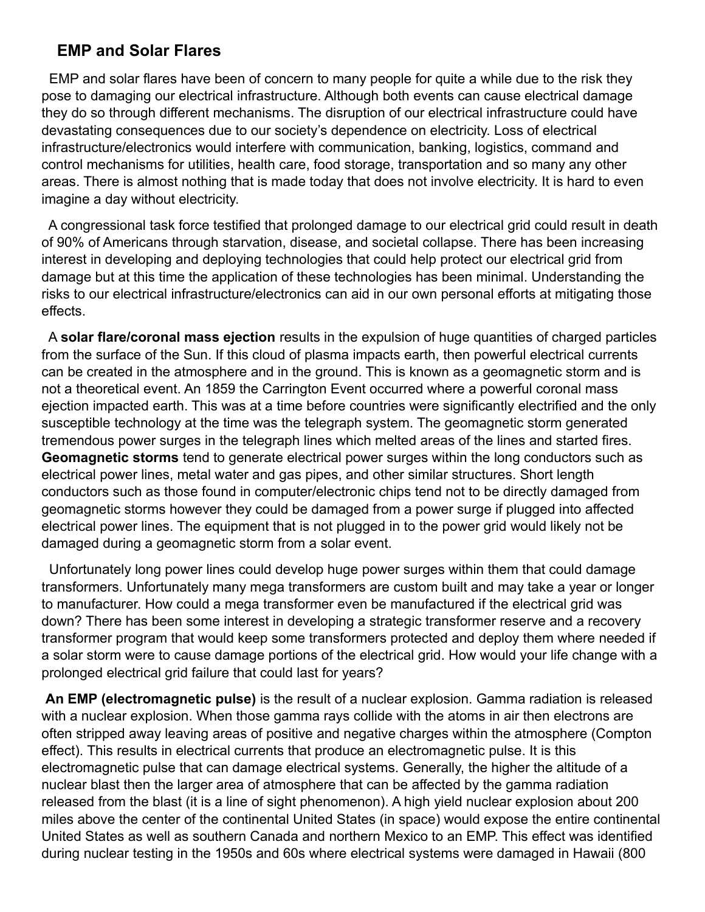## **EMP and Solar Flares**

 EMP and solar flares have been of concern to many people for quite a while due to the risk they pose to damaging our electrical infrastructure. Although both events can cause electrical damage they do so through different mechanisms. The disruption of our electrical infrastructure could have devastating consequences due to our society's dependence on electricity. Loss of electrical infrastructure/electronics would interfere with communication, banking, logistics, command and control mechanisms for utilities, health care, food storage, transportation and so many any other areas. There is almost nothing that is made today that does not involve electricity. It is hard to even imagine a day without electricity.

 A congressional task force testified that prolonged damage to our electrical grid could result in death of 90% of Americans through starvation, disease, and societal collapse. There has been increasing interest in developing and deploying technologies that could help protect our electrical grid from damage but at this time the application of these technologies has been minimal. Understanding the risks to our electrical infrastructure/electronics can aid in our own personal efforts at mitigating those effects.

 A **solar flare/coronal mass ejection** results in the expulsion of huge quantities of charged particles from the surface of the Sun. If this cloud of plasma impacts earth, then powerful electrical currents can be created in the atmosphere and in the ground. This is known as a geomagnetic storm and is not a theoretical event. An 1859 the Carrington Event occurred where a powerful coronal mass ejection impacted earth. This was at a time before countries were significantly electrified and the only susceptible technology at the time was the telegraph system. The geomagnetic storm generated tremendous power surges in the telegraph lines which melted areas of the lines and started fires. **Geomagnetic storms** tend to generate electrical power surges within the long conductors such as electrical power lines, metal water and gas pipes, and other similar structures. Short length conductors such as those found in computer/electronic chips tend not to be directly damaged from geomagnetic storms however they could be damaged from a power surge if plugged into affected electrical power lines. The equipment that is not plugged in to the power grid would likely not be damaged during a geomagnetic storm from a solar event.

 Unfortunately long power lines could develop huge power surges within them that could damage transformers. Unfortunately many mega transformers are custom built and may take a year or longer to manufacturer. How could a mega transformer even be manufactured if the electrical grid was down? There has been some interest in developing a strategic transformer reserve and a recovery transformer program that would keep some transformers protected and deploy them where needed if a solar storm were to cause damage portions of the electrical grid. How would your life change with a prolonged electrical grid failure that could last for years?

**An EMP (electromagnetic pulse)** is the result of a nuclear explosion. Gamma radiation is released with a nuclear explosion. When those gamma rays collide with the atoms in air then electrons are often stripped away leaving areas of positive and negative charges within the atmosphere (Compton effect). This results in electrical currents that produce an electromagnetic pulse. It is this electromagnetic pulse that can damage electrical systems. Generally, the higher the altitude of a nuclear blast then the larger area of atmosphere that can be affected by the gamma radiation released from the blast (it is a line of sight phenomenon). A high yield nuclear explosion about 200 miles above the center of the continental United States (in space) would expose the entire continental United States as well as southern Canada and northern Mexico to an EMP. This effect was identified during nuclear testing in the 1950s and 60s where electrical systems were damaged in Hawaii (800